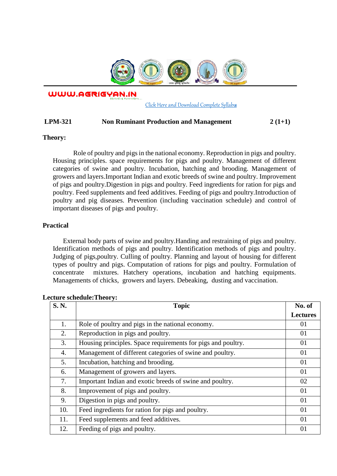

WWW.AGRIGYAN.IN

[Click Here and Download Complete Syllabus](http://agrigyan.in/)

## **LPM-321 Non Ruminant Production and Management 2 (1+1)**

## **Theory:**

 $\overline{a}$ 

Role of poultry and pigs in the national economy. Reproduction in pigs and poultry. Housing principles. space requirements for pigs and poultry. Management of different categories of swine and poultry. Incubation, hatching and brooding. Management of growers and layers.Important Indian and exotic breeds of swine and poultry. Improvement of pigs and poultry.Digestion in pigs and poultry. Feed ingredients for ration for pigs and poultry. Feed supplements and feed additives. Feeding of pigs and poultry.Introduction of poultry and pig diseases. Prevention (including vaccination schedule) and control of important diseases of pigs and poultry.

# **Practical**

External body parts of swine and poultry.Handing and restraining of pigs and poultry. Identification methods of pigs and poultry. Identification methods of pigs and poultry. Judging of pigs,poultry. Culling of poultry. Planning and layout of housing for different types of poultry and pigs. Computation of rations for pigs and poultry. Formulation of concentrate mixtures. Hatchery operations, incubation and hatching equipments. Managements of chicks, growers and layers. Debeaking, dusting and vaccination.

| <b>S. N.</b> | <b>Topic</b>                                                 | No. of          |
|--------------|--------------------------------------------------------------|-----------------|
|              |                                                              | <b>Lectures</b> |
| 1.           | Role of poultry and pigs in the national economy.            | 01              |
| 2.           | Reproduction in pigs and poultry.                            | 01              |
| 3.           | Housing principles. Space requirements for pigs and poultry. | 01              |
| 4.           | Management of different categories of swine and poultry.     | 01              |
| 5.           | Incubation, hatching and brooding.                           | 01              |
| 6.           | Management of growers and layers.                            | 01              |
| 7.           | Important Indian and exotic breeds of swine and poultry.     | 02              |
| 8.           | Improvement of pigs and poultry.                             | 01              |
| 9.           | Digestion in pigs and poultry.                               | 01              |
| 10.          | Feed ingredients for ration for pigs and poultry.            | 01              |
| 11.          | Feed supplements and feed additives.                         | 01              |
| 12.          | Feeding of pigs and poultry.                                 | 01              |

## **Lecture schedule:Theory:**